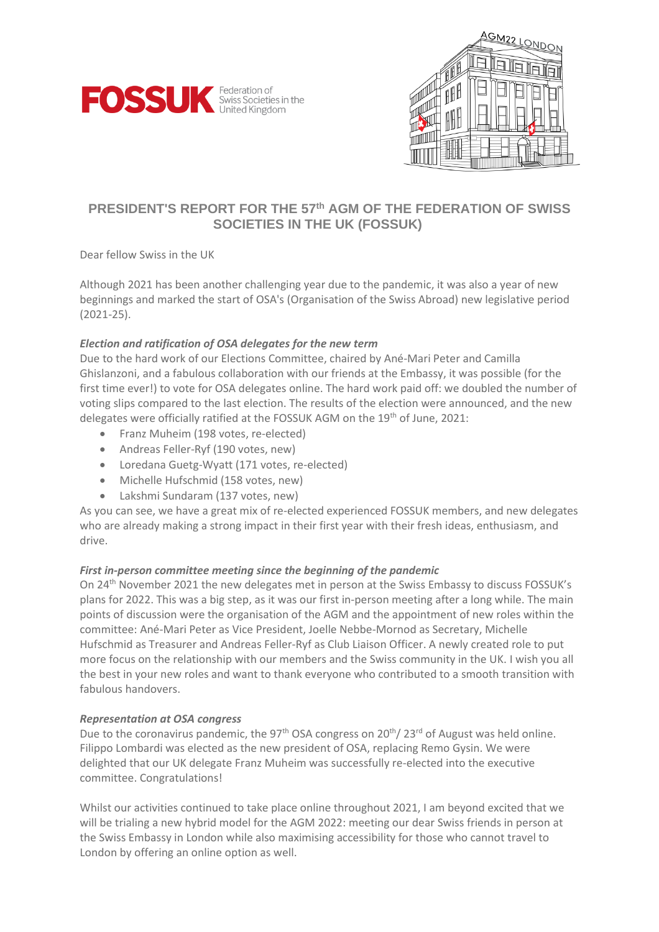



## **PRESIDENT'S REPORT FOR THE 57 th AGM OF THE FEDERATION OF SWISS SOCIETIES IN THE UK (FOSSUK)**

Dear fellow Swiss in the UK

Although 2021 has been another challenging year due to the pandemic, it was also a year of new beginnings and marked the start of OSA's (Organisation of the Swiss Abroad) new legislative period (2021-25).

## *Election and ratification of OSA delegates for the new term*

Due to the hard work of our Elections Committee, chaired by Ané-Mari Peter and Camilla Ghislanzoni, and a fabulous collaboration with our friends at the Embassy, it was possible (for the first time ever!) to vote for OSA delegates online. The hard work paid off: we doubled the number of voting slips compared to the last election. The results of the election were announced, and the new delegates were officially ratified at the FOSSUK AGM on the 19<sup>th</sup> of June, 2021:

- Franz Muheim (198 votes, re-elected)
- Andreas Feller-Ryf (190 votes, new)
- Loredana Guetg-Wyatt (171 votes, re-elected)
- Michelle Hufschmid (158 votes, new)
- Lakshmi Sundaram (137 votes, new)

As you can see, we have a great mix of re-elected experienced FOSSUK members, and new delegates who are already making a strong impact in their first year with their fresh ideas, enthusiasm, and drive.

## *First in-person committee meeting since the beginning of the pandemic*

On 24th November 2021 the new delegates met in person at the Swiss Embassy to discuss FOSSUK's plans for 2022. This was a big step, as it was our first in-person meeting after a long while. The main points of discussion were the organisation of the AGM and the appointment of new roles within the committee: Ané-Mari Peter as Vice President, Joelle Nebbe-Mornod as Secretary, Michelle Hufschmid as Treasurer and Andreas Feller-Ryf as Club Liaison Officer. A newly created role to put more focus on the relationship with our members and the Swiss community in the UK. I wish you all the best in your new roles and want to thank everyone who contributed to a smooth transition with fabulous handovers.

## *Representation at OSA congress*

Due to the coronavirus pandemic, the 97<sup>th</sup> OSA congress on 20<sup>th</sup>/ 23<sup>rd</sup> of August was held online. Filippo Lombardi was elected as the new president of OSA, replacing Remo Gysin. We were delighted that our UK delegate Franz Muheim was successfully re-elected into the executive committee. Congratulations!

Whilst our activities continued to take place online throughout 2021, I am beyond excited that we will be trialing a new hybrid model for the AGM 2022: meeting our dear Swiss friends in person at the Swiss Embassy in London while also maximising accessibility for those who cannot travel to London by offering an online option as well.